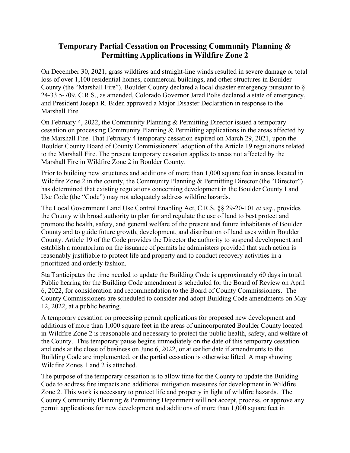## **Temporary Partial Cessation on Processing Community Planning & Permitting Applications in Wildfire Zone 2**

On December 30, 2021, grass wildfires and straight-line winds resulted in severe damage or total loss of over 1,100 residential homes, commercial buildings, and other structures in Boulder County (the "Marshall Fire"). Boulder County declared a local disaster emergency pursuant to § 24-33.5-709, C.R.S., as amended, Colorado Governor Jared Polis declared a state of emergency, and President Joseph R. Biden approved a Major Disaster Declaration in response to the Marshall Fire.

On February 4, 2022, the Community Planning & Permitting Director issued a temporary cessation on processing Community Planning & Permitting applications in the areas affected by the Marshall Fire. That February 4 temporary cessation expired on March 29, 2021, upon the Boulder County Board of County Commissioners' adoption of the Article 19 regulations related to the Marshall Fire. The present temporary cessation applies to areas not affected by the Marshall Fire in Wildfire Zone 2 in Boulder County.

Prior to building new structures and additions of more than 1,000 square feet in areas located in Wildfire Zone 2 in the county, the Community Planning & Permitting Director (the "Director") has determined that existing regulations concerning development in the Boulder County Land Use Code (the "Code") may not adequately address wildfire hazards.

The Local Government Land Use Control Enabling Act, C.R.S. §§ 29-20-101 *et seq*., provides the County with broad authority to plan for and regulate the use of land to best protect and promote the health, safety, and general welfare of the present and future inhabitants of Boulder County and to guide future growth, development, and distribution of land uses within Boulder County. Article 19 of the Code provides the Director the authority to suspend development and establish a moratorium on the issuance of permits he administers provided that such action is reasonably justifiable to protect life and property and to conduct recovery activities in a prioritized and orderly fashion.

Staff anticipates the time needed to update the Building Code is approximately 60 days in total. Public hearing for the Building Code amendment is scheduled for the Board of Review on April 6, 2022, for consideration and recommendation to the Board of County Commissioners. The County Commissioners are scheduled to consider and adopt Building Code amendments on May 12, 2022, at a public hearing.

A temporary cessation on processing permit applications for proposed new development and additions of more than 1,000 square feet in the areas of unincorporated Boulder County located in Wildfire Zone 2 is reasonable and necessary to protect the public health, safety, and welfare of the County. This temporary pause begins immediately on the date of this temporary cessation and ends at the close of business on June 6, 2022, or at earlier date if amendments to the Building Code are implemented, or the partial cessation is otherwise lifted. A map showing Wildfire Zones 1 and 2 is attached.

The purpose of the temporary cessation is to allow time for the County to update the Building Code to address fire impacts and additional mitigation measures for development in Wildfire Zone 2. This work is necessary to protect life and property in light of wildfire hazards. The County Community Planning & Permitting Department will not accept, process, or approve any permit applications for new development and additions of more than 1,000 square feet in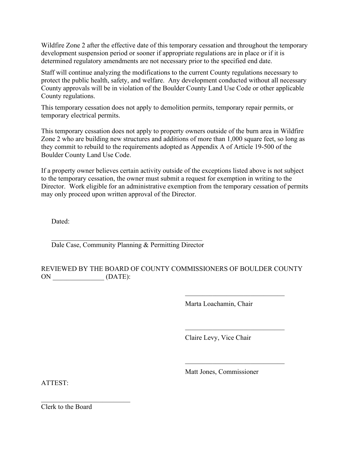Wildfire Zone 2 after the effective date of this temporary cessation and throughout the temporary development suspension period or sooner if appropriate regulations are in place or if it is determined regulatory amendments are not necessary prior to the specified end date.

Staff will continue analyzing the modifications to the current County regulations necessary to protect the public health, safety, and welfare. Any development conducted without all necessary County approvals will be in violation of the Boulder County Land Use Code or other applicable County regulations.

This temporary cessation does not apply to demolition permits, temporary repair permits, or temporary electrical permits.

This temporary cessation does not apply to property owners outside of the burn area in Wildfire Zone 2 who are building new structures and additions of more than 1,000 square feet, so long as they commit to rebuild to the requirements adopted as Appendix A of Article 19-500 of the Boulder County Land Use Code.

If a property owner believes certain activity outside of the exceptions listed above is not subject to the temporary cessation, the owner must submit a request for exemption in writing to the Director. Work eligible for an administrative exemption from the temporary cessation of permits may only proceed upon written approval of the Director.

Dated:

 $\mathcal{L}_\mathcal{L}$  , which is a set of the set of the set of the set of the set of the set of the set of the set of the set of the set of the set of the set of the set of the set of the set of the set of the set of the set of Dale Case, Community Planning & Permitting Director

## REVIEWED BY THE BOARD OF COUNTY COMMISSIONERS OF BOULDER COUNTY ON  $(DATE):$

Marta Loachamin, Chair

 $\overline{\phantom{a}}$  , and the set of the set of the set of the set of the set of the set of the set of the set of the set of the set of the set of the set of the set of the set of the set of the set of the set of the set of the s

 $\overline{\phantom{a}}$  , and the set of the set of the set of the set of the set of the set of the set of the set of the set of the set of the set of the set of the set of the set of the set of the set of the set of the set of the s

\_\_\_\_\_\_\_\_\_\_\_\_\_\_\_\_\_\_\_\_\_\_\_\_\_\_\_\_\_

Claire Levy, Vice Chair

Matt Jones, Commissioner

ATTEST:

Clerk to the Board

 $\overline{\phantom{a}}$  , and the set of the set of the set of the set of the set of the set of the set of the set of the set of the set of the set of the set of the set of the set of the set of the set of the set of the set of the s